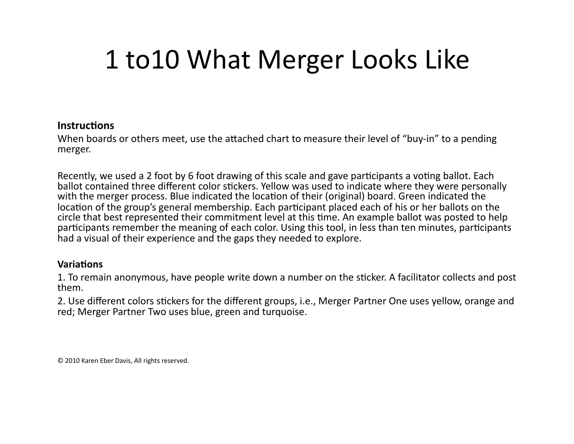## 1
to10
What
Merger
Looks
Like

## **Instructions**

When boards or others meet, use the attached chart to measure their level of "buy-in" to a pending merger.

Recently, we used a 2 foot by 6 foot drawing of this scale and gave participants a voting ballot. Each ballot contained three different color stickers. Yellow was used to indicate where they were personally with the merger process. Blue indicated the location of their (original) board. Green indicated the location of the group's general membership. Each participant placed each of his or her ballots on the circle
that
best
represented
their
commitment
level
at
this
Fme.
An
example
ballot
was
posted
to
help participants remember the meaning of each color. Using this tool, in less than ten minutes, participants had a visual of their experience and the gaps they needed to explore.

## **Variations**

1. To remain anonymous, have people write down a number on the sticker. A facilitator collects and post them.

2. Use different colors stickers for the different groups, i.e., Merger Partner One uses vellow, orange and red;
Merger
Partner
Two
uses
blue,
green
and
turquoise.

©
2010
Karen
Eber
Davis,
All
rights
reserved.